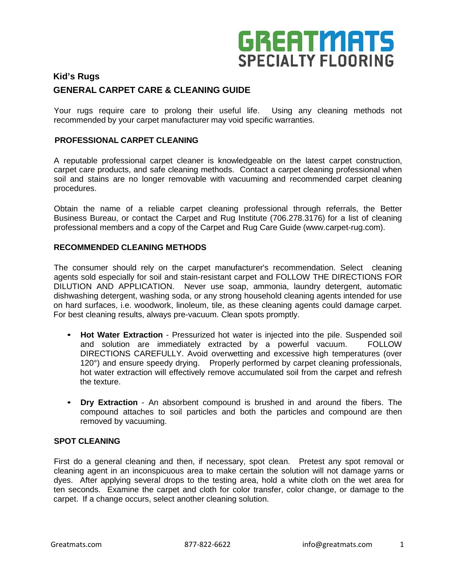# **GREATMATS SPECIALTY FLOORING**

### **Kid's Rugs GENERAL CARPET CARE & CLEANING GUIDE**

Your rugs require care to prolong their useful life. Using any cleaning methods not recommended by your carpet manufacturer may void specific warranties.

#### **PROFESSIONAL CARPET CLEANING**

A reputable professional carpet cleaner is knowledgeable on the latest carpet construction, carpet care products, and safe cleaning methods. Contact a carpet cleaning professional when soil and stains are no longer removable with vacuuming and recommended carpet cleaning procedures.

Obtain the name of a reliable carpet cleaning professional through referrals, the Better Business Bureau, or contact the Carpet and Rug Institute (706.278.3176) for a list of cleaning professional members and a copy of the Carpet and Rug Care Guide (www.carpet-rug.com).

#### **RECOMMENDED CLEANING METHODS**

The consumer should rely on the carpet manufacturer's recommendation. Select cleaning agents sold especially for soil and stain-resistant carpet and FOLLOW THE DIRECTIONS FOR DILUTION AND APPLICATION. Never use soap, ammonia, laundry detergent, automatic dishwashing detergent, washing soda, or any strong household cleaning agents intended for use on hard surfaces, i.e. woodwork, linoleum, tile, as these cleaning agents could damage carpet. For best cleaning results, always pre-vacuum. Clean spots promptly.

- **Hot Water Extraction** Pressurized hot water is injected into the pile. Suspended soil and solution are immediately extracted by a powerful vacuum. FOLLOW DIRECTIONS CAREFULLY. Avoid overwetting and excessive high temperatures (over 120°) and ensure speedy drying. Properly performed by carpet cleaning professionals, hot water extraction will effectively remove accumulated soil from the carpet and refresh the texture.
- **Dry Extraction** An absorbent compound is brushed in and around the fibers. The compound attaches to soil particles and both the particles and compound are then removed by vacuuming.

#### **SPOT CLEANING**

First do a general cleaning and then, if necessary, spot clean. Pretest any spot removal or cleaning agent in an inconspicuous area to make certain the solution will not damage yarns or dyes. After applying several drops to the testing area, hold a white cloth on the wet area for ten seconds. Examine the carpet and cloth for color transfer, color change, or damage to the carpet. If a change occurs, select another cleaning solution.